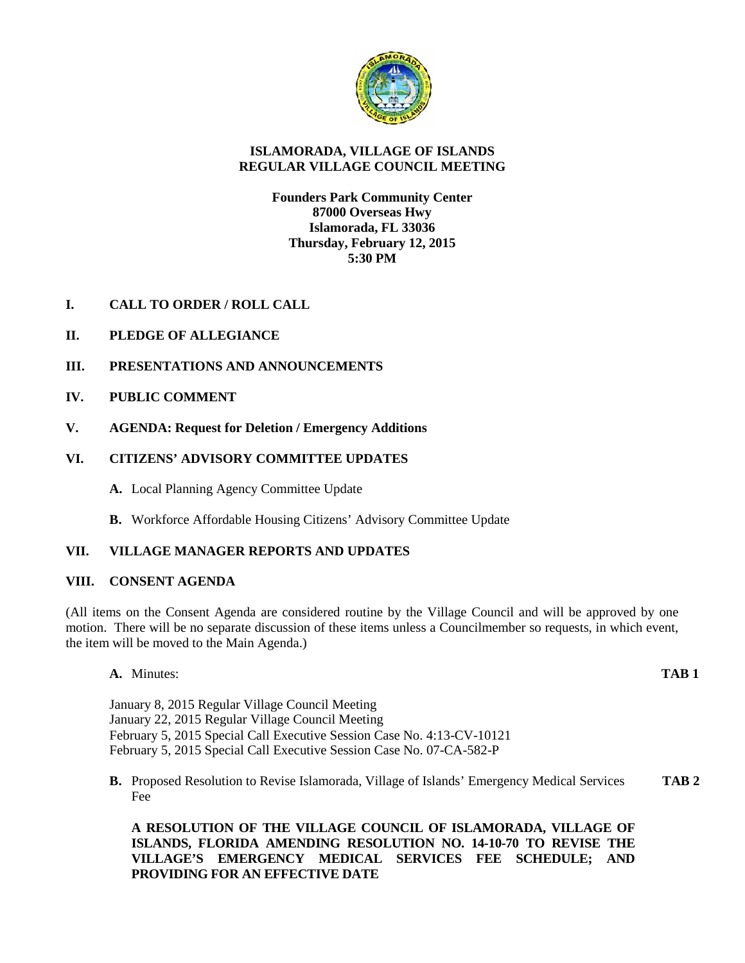

# **ISLAMORADA, VILLAGE OF ISLANDS REGULAR VILLAGE COUNCIL MEETING**

## **Founders Park Community Center 87000 Overseas Hwy Islamorada, FL 33036 Thursday, February 12, 2015 5:30 PM**

- **I. CALL TO ORDER / ROLL CALL**
- **II. PLEDGE OF ALLEGIANCE**
- **III. PRESENTATIONS AND ANNOUNCEMENTS**
- **IV. PUBLIC COMMENT**
- **V. AGENDA: Request for Deletion / Emergency Additions**

# **VI. CITIZENS' ADVISORY COMMITTEE UPDATES**

- **A.** Local Planning Agency Committee Update
- **B.** Workforce Affordable Housing Citizens' Advisory Committee Update

# **VII. VILLAGE MANAGER REPORTS AND UPDATES**

## **VIII. CONSENT AGENDA**

(All items on the Consent Agenda are considered routine by the Village Council and will be approved by one motion. There will be no separate discussion of these items unless a Councilmember so requests, in which event, the item will be moved to the Main Agenda.)

**A.** Minutes: **TAB 1**

January 8, 2015 Regular Village Council Meeting January 22, 2015 Regular Village Council Meeting February 5, 2015 Special Call Executive Session Case No. 4:13-CV-10121 February 5, 2015 Special Call Executive Session Case No. 07-CA-582-P

**B.** Proposed Resolution to Revise Islamorada, Village of Islands' Emergency Medical Services **TAB 2** Fee

**A RESOLUTION OF THE VILLAGE COUNCIL OF ISLAMORADA, VILLAGE OF ISLANDS, FLORIDA AMENDING RESOLUTION NO. 14-10-70 TO REVISE THE VILLAGE'S EMERGENCY MEDICAL SERVICES FEE SCHEDULE; AND PROVIDING FOR AN EFFECTIVE DATE**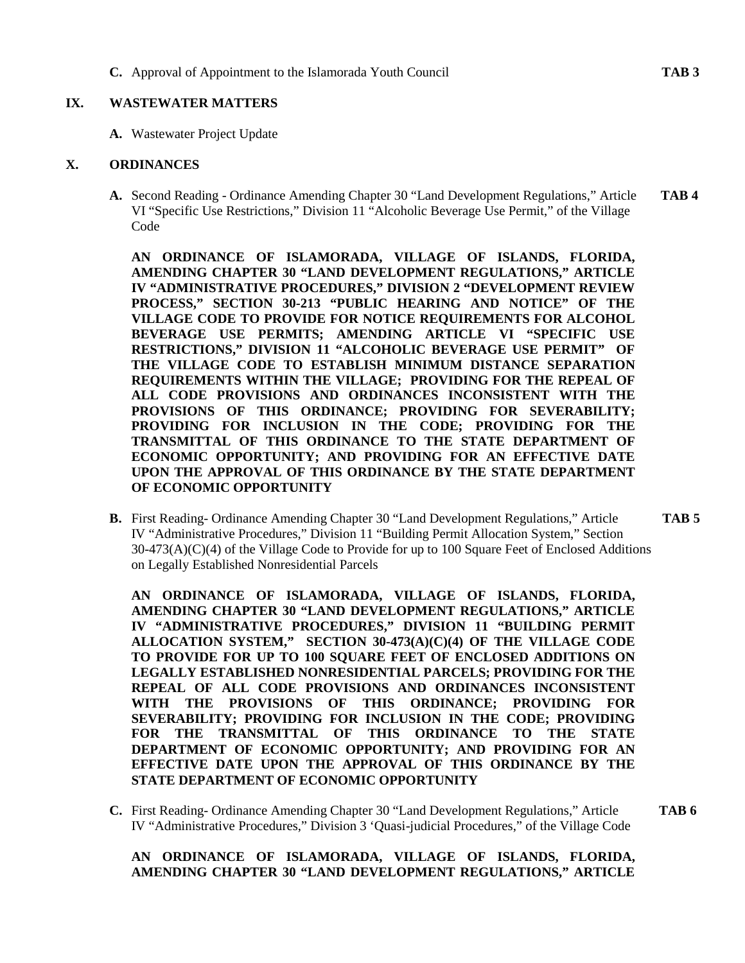**C.** Approval of Appointment to the Islamorada Youth Council **TAB 3**

#### **IX. WASTEWATER MATTERS**

**A.** Wastewater Project Update

#### **X. ORDINANCES**

**A.** Second Reading - Ordinance Amending Chapter 30 "Land Development Regulations," Article **TAB 4** VI "Specific Use Restrictions," Division 11 "Alcoholic Beverage Use Permit," of the Village Code

**AN ORDINANCE OF ISLAMORADA, VILLAGE OF ISLANDS, FLORIDA, AMENDING CHAPTER 30 "LAND DEVELOPMENT REGULATIONS," ARTICLE IV "ADMINISTRATIVE PROCEDURES," DIVISION 2 "DEVELOPMENT REVIEW PROCESS," SECTION 30-213 "PUBLIC HEARING AND NOTICE" OF THE VILLAGE CODE TO PROVIDE FOR NOTICE REQUIREMENTS FOR ALCOHOL BEVERAGE USE PERMITS; AMENDING ARTICLE VI "SPECIFIC USE RESTRICTIONS," DIVISION 11 "ALCOHOLIC BEVERAGE USE PERMIT" OF THE VILLAGE CODE TO ESTABLISH MINIMUM DISTANCE SEPARATION REQUIREMENTS WITHIN THE VILLAGE; PROVIDING FOR THE REPEAL OF ALL CODE PROVISIONS AND ORDINANCES INCONSISTENT WITH THE PROVISIONS OF THIS ORDINANCE; PROVIDING FOR SEVERABILITY; PROVIDING FOR INCLUSION IN THE CODE; PROVIDING FOR THE TRANSMITTAL OF THIS ORDINANCE TO THE STATE DEPARTMENT OF ECONOMIC OPPORTUNITY; AND PROVIDING FOR AN EFFECTIVE DATE UPON THE APPROVAL OF THIS ORDINANCE BY THE STATE DEPARTMENT OF ECONOMIC OPPORTUNITY**

**B.** First Reading- Ordinance Amending Chapter 30 "Land Development Regulations," Article **TAB 5** IV "Administrative Procedures," Division 11 "Building Permit Allocation System," Section 30-473(A)(C)(4) of the Village Code to Provide for up to 100 Square Feet of Enclosed Additions on Legally Established Nonresidential Parcels

**AN ORDINANCE OF ISLAMORADA, VILLAGE OF ISLANDS, FLORIDA, AMENDING CHAPTER 30 "LAND DEVELOPMENT REGULATIONS," ARTICLE IV "ADMINISTRATIVE PROCEDURES," DIVISION 11 "BUILDING PERMIT ALLOCATION SYSTEM," SECTION 30-473(A)(C)(4) OF THE VILLAGE CODE TO PROVIDE FOR UP TO 100 SQUARE FEET OF ENCLOSED ADDITIONS ON LEGALLY ESTABLISHED NONRESIDENTIAL PARCELS; PROVIDING FOR THE REPEAL OF ALL CODE PROVISIONS AND ORDINANCES INCONSISTENT WITH THE PROVISIONS OF THIS ORDINANCE; PROVIDING FOR SEVERABILITY; PROVIDING FOR INCLUSION IN THE CODE; PROVIDING FOR THE TRANSMITTAL OF THIS ORDINANCE TO THE STATE DEPARTMENT OF ECONOMIC OPPORTUNITY; AND PROVIDING FOR AN EFFECTIVE DATE UPON THE APPROVAL OF THIS ORDINANCE BY THE STATE DEPARTMENT OF ECONOMIC OPPORTUNITY**

**C.** First Reading- Ordinance Amending Chapter 30 "Land Development Regulations," Article **TAB 6** IV "Administrative Procedures," Division 3 'Quasi-judicial Procedures," of the Village Code

# **AN ORDINANCE OF ISLAMORADA, VILLAGE OF ISLANDS, FLORIDA, AMENDING CHAPTER 30 "LAND DEVELOPMENT REGULATIONS," ARTICLE**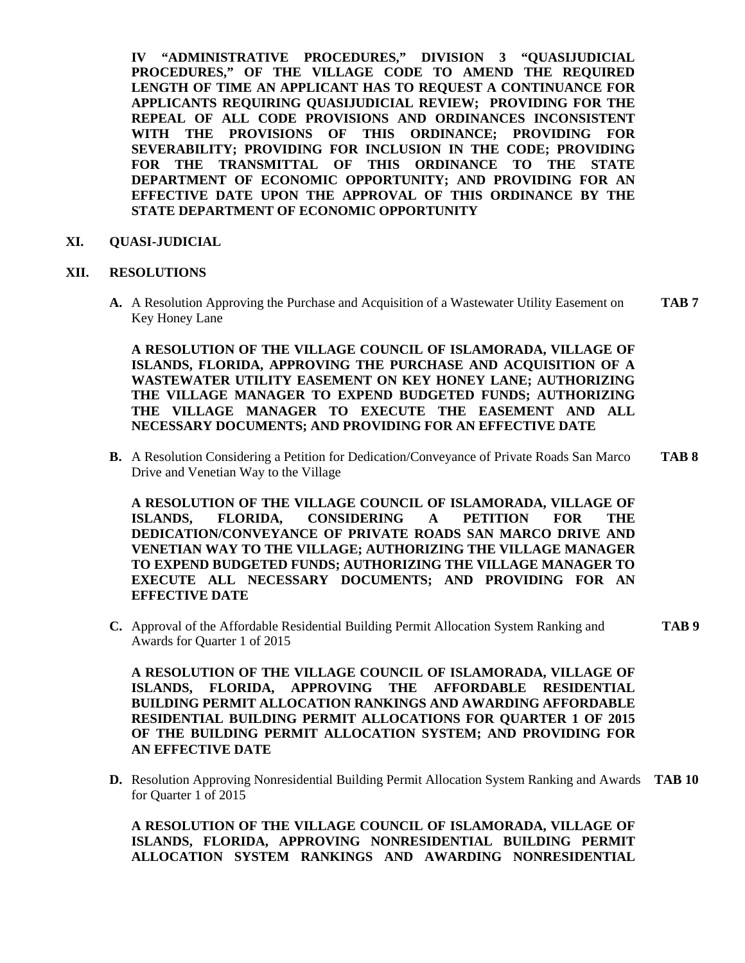**IV "ADMINISTRATIVE PROCEDURES," DIVISION 3 "QUASIJUDICIAL PROCEDURES," OF THE VILLAGE CODE TO AMEND THE REQUIRED LENGTH OF TIME AN APPLICANT HAS TO REQUEST A CONTINUANCE FOR APPLICANTS REQUIRING QUASIJUDICIAL REVIEW; PROVIDING FOR THE REPEAL OF ALL CODE PROVISIONS AND ORDINANCES INCONSISTENT WITH THE PROVISIONS OF THIS ORDINANCE; PROVIDING FOR SEVERABILITY; PROVIDING FOR INCLUSION IN THE CODE; PROVIDING FOR THE TRANSMITTAL OF THIS ORDINANCE TO THE STATE DEPARTMENT OF ECONOMIC OPPORTUNITY; AND PROVIDING FOR AN EFFECTIVE DATE UPON THE APPROVAL OF THIS ORDINANCE BY THE STATE DEPARTMENT OF ECONOMIC OPPORTUNITY**

## **XI. QUASI-JUDICIAL**

#### **XII. RESOLUTIONS**

**A.** A Resolution Approving the Purchase and Acquisition of a Wastewater Utility Easement on **TAB 7** Key Honey Lane

**A RESOLUTION OF THE VILLAGE COUNCIL OF ISLAMORADA, VILLAGE OF ISLANDS, FLORIDA, APPROVING THE PURCHASE AND ACQUISITION OF A WASTEWATER UTILITY EASEMENT ON KEY HONEY LANE; AUTHORIZING THE VILLAGE MANAGER TO EXPEND BUDGETED FUNDS; AUTHORIZING THE VILLAGE MANAGER TO EXECUTE THE EASEMENT AND ALL NECESSARY DOCUMENTS; AND PROVIDING FOR AN EFFECTIVE DATE**

**B.** A Resolution Considering a Petition for Dedication/Conveyance of Private Roads San Marco **TAB 8** Drive and Venetian Way to the Village

**A RESOLUTION OF THE VILLAGE COUNCIL OF ISLAMORADA, VILLAGE OF ISLANDS, FLORIDA, CONSIDERING A PETITION FOR THE DEDICATION/CONVEYANCE OF PRIVATE ROADS SAN MARCO DRIVE AND VENETIAN WAY TO THE VILLAGE; AUTHORIZING THE VILLAGE MANAGER TO EXPEND BUDGETED FUNDS; AUTHORIZING THE VILLAGE MANAGER TO EXECUTE ALL NECESSARY DOCUMENTS; AND PROVIDING FOR AN EFFECTIVE DATE**

**C.** Approval of the Affordable Residential Building Permit Allocation System Ranking and **TAB 9** Awards for Quarter 1 of 2015

**A RESOLUTION OF THE VILLAGE COUNCIL OF ISLAMORADA, VILLAGE OF ISLANDS, FLORIDA, APPROVING THE AFFORDABLE RESIDENTIAL BUILDING PERMIT ALLOCATION RANKINGS AND AWARDING AFFORDABLE RESIDENTIAL BUILDING PERMIT ALLOCATIONS FOR QUARTER 1 OF 2015 OF THE BUILDING PERMIT ALLOCATION SYSTEM; AND PROVIDING FOR AN EFFECTIVE DATE**

**D.** Resolution Approving Nonresidential Building Permit Allocation System Ranking and Awards **TAB 10** for Quarter 1 of 2015

**A RESOLUTION OF THE VILLAGE COUNCIL OF ISLAMORADA, VILLAGE OF ISLANDS, FLORIDA, APPROVING NONRESIDENTIAL BUILDING PERMIT ALLOCATION SYSTEM RANKINGS AND AWARDING NONRESIDENTIAL**